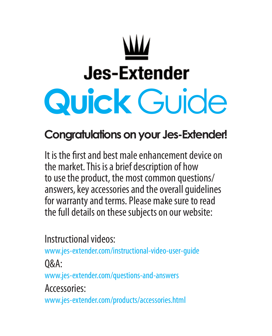# **Jes-Extender Quick** Guide **Quick** Guide

# **Congratulations on your Jes-Extender! Congratulations on your Jes-Extender!**

It is the first and best male enhancement device on the market. This is a brief description of how the market. This is a brief description of how to use the product, the most common questions/ to use the product, the most common questions/ answers, key accessories and the overall guidelines answers, key accessories and the overall guidelines for warranty and terms. Please make sure to read for warranty and terms. Please make sure to read the full details on these subjects on our website: the full details on these subjects on our website:

Instructional videos: Instructional videos:

www.jes-extender.com/instructional-video-user-guide www.jes-extender.com/instructional-video-user-guide

Q&A: Q&A

www.jes-extender.com/questions-and-answers www.jes-extender.com/questions-and-answers

Accessories: Accessories

www.jes-extender.com/products/accessories.html www.jes-extender.com/products/accessories.html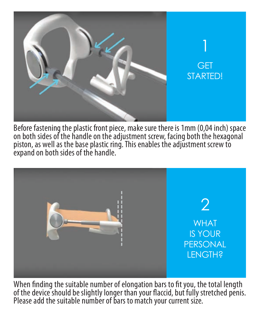

Before fastening the plastic front piece, make sure there is 1mm (0,04 inch) space on both sides of the handle on the adjustment screw, facing both the hexagonal piston, as well as the base plastic ring. This enables the adjustment screw to expand on both sides of the handle. expand on both sides of the handle. expand on both sides of the handle. Before fastening the plastic front piece, make sure there is 1mm (0,04 inch) space on both sides of the handle on the adjustment screw, facing both the hexagonal<br>pictor, as well as the hase plastic ring. This enables the adjustment screw to piston, as well as the base plastic ring. This enables the adjustment screw to on both sides of the handle on the adjustment screw, facing both the hexagonal piston, as well as the base plastic ring. This enables the adjustment screw to



When finding the suitable number of elongation bars to fit you, the total length of the device should be slightly longer than your flaccid, but fully stretched penis. Please add the suitable number of bars to match your current size. Please add the suitable number of bars to match your current size. When finding the suitable number of elongation bars to fit you, the total length of the device should be slightly longer than your flaccid, but fully stretched penis.<br>Please add the suitable number of bars to match your current size. When finding the suitable number of elongation bars to fit you, the total length of the device should be slightly longer than your accid, but fully stretched penis.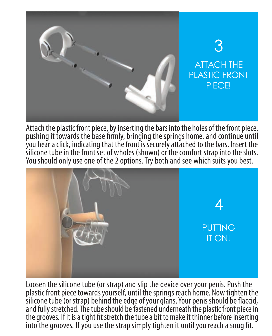

Attach the plastic front piece, by inserting the bars into the holes of the front piece, pushing it towards the base firmly, bringing the springs home, and continue until you hear a click, indicating that the front is securely attached to the bars. Insert the silicone tube in the front set of wholes (shown) or the comfort strap into the slots. silicone tube in the front set of wholes (shown) or the comfort strap into the slots.<br>You should only use one of the 2 options. Try both and see which suits you best. You should only use one of the 2 options. Iry both and see which suits you best. silicone tube in the front set of wholes (shown) or the comfort strap into the slots. You should only use one of the 2 options. Try both and see which suits you best.



Loosen the silicone tube (or strap) and slip the device over your penis. Push the plastic front piece towards yourself, until the springs reach home. Now tighten the yourself, until the springs reach home. Now tighten the plastic front piece towards yourself, until the springs reach home. Now tighten the silicone tube (or strap) behind the edge of your glans. Your penis should be flaccid, and fully stretched. The tube should be fastened underneath the plastic front piece in the grooves. If it is a tight fit stretch the tube a bit to make it thinner before inserting into the grooves. If you use the strap simply tighten it until you reach a snug fit. silicone tube (or strap) behind the edge of your glans. Your penis should be flaccid, fully stretched. The tube should be fastened underneath the plastic front piece in plastic from prece condras yourself, and the springs reach former from tighten the<br>silicone tube (or strap) behind the edge of your glans. Your penis should be flaccid, and fully stretched. The tube should be fastened underneath the plastic front piece in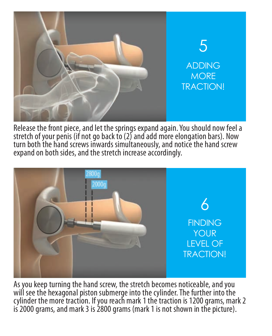

Release the front piece, and let the springs expand again. You should now feel a stretch of your penis (if not go back to (2) and add more elongation bars). Now turn both the hand screws inwards simultaneously, and notice the hand screw expand on both sides, and the stretch increase accordingly. expand on both sides, and the stretch increase accordingly. stretch of your penis (if not go back to (2) and add more elongation bars). Now stretch of your penis (if not go back to (2) and add more elongation bars). Now<br>turn both the hand screws inwards simultaneously, and notice the hand screw turn both the hand screws inwards simultaneously, and no<br>expand on both sides, and the stretch increase accordingly. stretch of your penis (if not go back to (2) and add more elongation bars). Now turn both the hand screws inwards simultaneously, and notice the hand screw



As you keep turning the hand screw, the stretch becomes noticeable, and you will see the hexagonal piston submerge into the cylinder. The further into the cylinder the more traction. If you reach mark 1 the traction is 1200 grams, mark 2 is 2000 grams, and mark 3 is 2800 grams (mark 1 is not shown in the picture). is 2000 grams, and mark 3 is 2800 grams (mark 1 is not shown in the picture).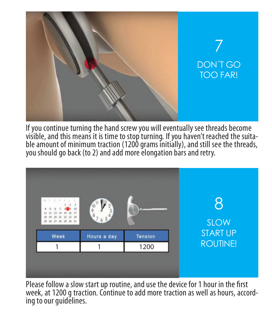

If you continue turning the hand screw you will eventually see threads become visible, and this means it is time to stop turning. If you haven't reached the suitable amount of minimum traction (1200 grams initially), and still see the threads, you should go back (to 2) and add more elongation bars and retry. you should go back (to 2) and add more elongation bars and retry. you should go back (to 2) and add more elongation bars and retry. If you continue turning the hand screw you will eventually see threads become<br>visible, and this means it is time to stop turning. If you haven't reached the suitable amount of minimum traction (1200 grams initially), and still s If you continue turning the hand screw you will eventually see threads become visible, and this means it is time to stop turning. If you haven't reached the suita-<br>ble amount of minimum traction (1200 grams initially), and still see the threads, If you continue turning the hand screw you will eventually see threads become visible, and this means it is time to stop turning. If you haven't reached the suita-<br>ble amount of minimum traction (1200 grams initially), and still see the threads,



Please follow a slow start up routine, and use the device for 1 hour in the first week, at 1200 g traction. Continue to add more traction as well as hours, accord-<br>ing to our guidelines. we know g traction as well as hours, accord- ing to our guidelines.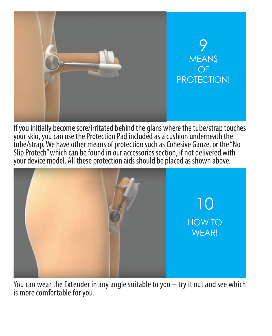

If you initially become sore/irritated behind the glans where the tube/strap touches your skin, you can use the Protection Pad included as a cushion underneath the tube/strap. We have other means of protection such as Cohesive Gauze, or the "No tube/strap. We have other means of protection such as Cohesive Gauze, or the "No<br>Slip Protech" which can be found in our accessories section, if not delivered with your device model. All these protection aids should be placed as shown above. If you initially become sore/irritated behind the glans where the tube/strap touche your skin, you can use the Protection Pad included as a cushion underneath the Slip Protech" whi If you initially become sore/irritated behind the glans where the tube/strap to your skin, you can use the Protection Pad included as a cushion underneat tube/strap. We have other means of protection such as Cohesive Gauze, or the "No Slip Protech" which can be found in our accessories section, if not delivered with



You can wear the Extender in any angle suitable to you – try it out and see which You can wear the Extender in any angle suitable to you – try it out and see which is more comfortable for you.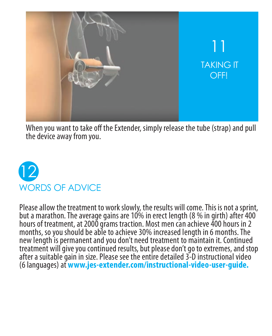

When you want to take off the Extender, simply release the tube (strap) and pull the device away from you. the device away from you.



Please allow the treatment to work slowly, the results will come. This is not a sprint, but a marathon. The average gains are 10% in erect length (8 % in girth) after 400 but a marathon. The average gains are in erect length % in after 400 hours of treatment, at 2000 grams traction. Most men can achieve 400 hours in 2 months, so you should be able to achieve 30% increased length in 6 months. The months, so you should be able achieve 30% increased length in 6 months. The new length is permanent and you don't need treatment to maintain it. Continued treatment will give you continued results, but please don't go to extremes, and stop after a suitable gain in size. Please see the entire detailed 3-D instructional video (6 languages) at **www.jes-extender.com/instructional-video-user-guide.** languages) **www.jes-extender.com/instructional-video-user-guide.**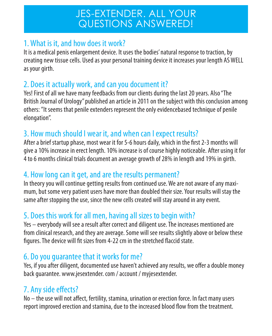# JES-EXTENDER. ALL YOUR QUESTIONS ANSWERED!

#### 1. What is it, and how does it work?

It is a medical penis enlargement device. It uses the bodies' natural response to traction, by creating new tissue cells. Used as your personal training device it increases your length AS WELL as your girth.

#### 2. Does it actually work, and can you document it?

Yes! First of all we have many feedbacks from our clients during the last 20 years. Also "The British Journal of Urology" published an article in 2011 on the subject with this conclusion among others: "It seems that penile extenders represent the only evidencebased technique of penile elongation".

#### 3. How much should I wear it, and when can I expect results?

After a brief startup phase, most wear it for 5-6 hours daily, which in the first 2-3 months will give a 10% increase in erect length. 10% increase is of course highly noticeable. After using it for 4 to 6 months clinical trials document an average growth of 28% in length and 19% in girth.

#### 4. How long can it get, and are the results permanent?

In theory you will continue getting results from continued use. We are not aware of any maximum, but some very patient users have more than doubled their size. Your results will stay the same after stopping the use, since the new cells created will stay around in any event.

## 5. Does this work for all men, having all sizes to begin with?

Yes – everybody will see a result after correct and diligent use. The increases mentioned are from clinical research, and they are average. Some will see results slightly above or below these figures. The device will fit sizes from 4-22 cm in the stretched flaccid state.

#### 6. Do you guarantee that it works for me?

Yes, if you after diligent, documented use haven't achieved any results, we offer a double money back guarantee. www.jesextender. com / account / myjesextender.

## 7. Any side effects?

No – the use will not affect, fertility, stamina, urination or erection force. In fact many users report improved erection and stamina, due to the increased blood flow from the treatment.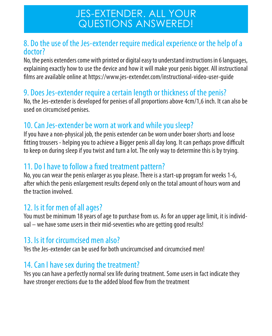# JES-EXTENDER. ALL YOUR QUESTIONS ANSWERED!

#### 8. Do the use of the Jes-extender require medical experience or the help of a doctor?

No, the penis extenders come with printed or digital easy to understand instructions in 6 languages, explaining exactly how to use the device and how it will make your penis bigger. All instructional films are available online at https://www.jes-extender.com/instructional-video-user-quide

#### 9. Does Jes-extender require a certain length or thickness of the penis?

No, the Jes-extender is developed for penises of all proportions above 4cm/1,6 inch. It can also be used on circumcised penises.

#### 10. Can Jes-extender be worn at work and while you sleep?

If you have a non-physical job, the penis extender can be worn under boxer shorts and loose fitting trousers - helping you to achieve a Bigger penis all day long. It can perhaps prove difficult to keep on during sleep if you twist and turn a lot. The only way to determine this is by trying.

#### 11. Do I have to follow a fixed treatment pattern?

No, you can wear the penis enlarger as you please. There is a start-up program for weeks 1-6, after which the penis enlargement results depend only on the total amount of hours worn and the traction involved.

#### 12. Is it for men of all ages?

You must be minimum 18 years of age to purchase from us. As for an upper age limit, it is individual – we have some users in their mid-seventies who are getting good results!

#### 13. Is it for circumcised men also?

Yes the Jes-extender can be used for both uncircumcised and circumcised men!

#### 14. Can I have sex during the treatment?

Yes you can have a perfectly normal sex life during treatment. Some users in fact indicate they have stronger erections due to the added blood flow from the treatment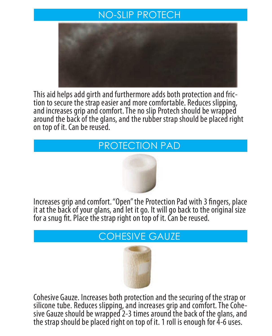## NO-SLIP PROTECH



This aid helps add girth and furthermore adds both protection and fric-This aid helps add girth and furthermore adds both protection and fric-<br>tion to secure the strap easier and more comfortable. Reduces slipping, and increases grip and comfort. The no slip Protech should be wrapped and increases grip and comfort. The no slip Protech should be wrapped around the back of the glans, and the rubber strap should be placed right around the back of the glans, and the rubber strap should be placed right on top of it. Can be reused. on top of it. Can be reused.

# PROTECTION PAD



Increases grip and comfort. "Open" the Protection Pad with 3 fingers, place it at the back of your glans, and let it go. It will go back to the original size it at the back of your glans, and let it go. It will go back to the original size re at the back of your glans, and let it go. It will go back to the<br>for a snug fit. Place the strap right on top of it. Can be reused.

# COHESIVE GAUZE



Cohesive Gauze. Increases both protection and the securing of the strap or silicone tube. Reduces slipping, and increases grip and comfort. The Cohe-<br>sive Gauze should be wrapped 2-3 times around the back of the glans, and the strap should be placed right on top of it. 1 roll is enough for 4-6 uses.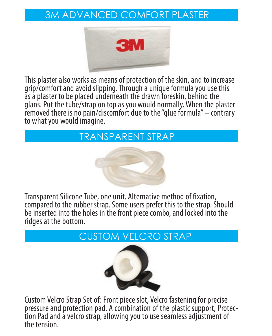# 3M ADVANCED COMFORT PLASTER 3M ADVANCED COMFORT PLASTER



This plaster also works as means of protection of the skin, and to increase This plaster also works as means of protection of the skin, and to increase<br>grip/comfort and avoid slipping. Through a unique formula you use this grip/comfort and avoid supping. Infough a unique formula you use this<br>as a plaster to be placed underneath the drawn foreskin, behind the as a plaster to be placed underneath the drawn loreskin, bening the<br>glans. Put the tube/strap on top as you would normally. When the plaster gians. Put the tube/strap on top as you would normally. When the plaster<br>removed there is no pain/discomfort due to the "glue formula" – contrary tembred there is no pain, also more due to the gray<br>to what you would imagine. magnie.

#### TRANSPARENT STRAP



Transparent Silicone Tube, one unit. Alternative method of fixation, compared to the rubber strap. Some users prefer this to the strap. Should compared to the rubber strap. Some users prefer this to the strap. Should<br>be inserted into the holes in the front piece combo, and locked into the ridges at the bottom. ridges at the bottom. Transparent Silicone Tube, one unit. Alternative method of fixation, be inserted into the holes in the front piece combo, and locked into the<br>ridnes at the bottom

# CUSTOM VELCRO STRAP CUSTOM VELCRO STRAP



**Custom Velcro Strap Set of: Front piece slot, Velcro fastening for precise** Custom Velcro Strap Set of: Front piece slot, Velcro fastening for precise<br>pressure and protection pad. A combination of the plastic support, Protec-<br>tion Pad and a velcro strap, allowing you to use seamless adjustment of the tension. the tension. tion Pad and a velcro strap, allowing you to use seamless adjustment of<br>the tension.